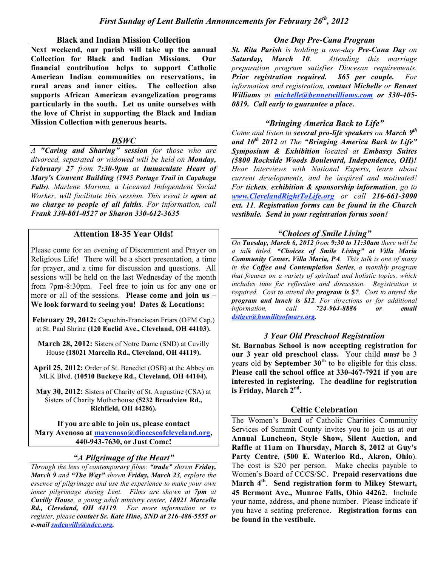#### **Black and Indian Mission Collection**

**Next weekend, our parish will take up the annual Collection for Black and Indian Missions. Our financial contribution helps to support Catholic American Indian communities on reservations, in rural areas and inner cities. The collection also supports African American evangelization programs particularly in the south. Let us unite ourselves with the love of Christ in supporting the Black and Indian Mission Collection with generous hearts.**

#### *DSWC*

*A "Caring and Sharing" session for those who are divorced, separated or widowed will be held on Monday, February 27 from 7:30-9pm at Immaculate Heart of Mary's Convent Building (1945 Portage Trail in Cuyahoga Falls). Marlene Maruna, a Licensed Independent Social Worker, will facilitate this session. This event is open at no charge to people of all faiths. For information, call Frank 330-801-0527 or Sharon 330-612-3635*

#### **Attention 18-35 Year Olds!**

Please come for an evening of Discernment and Prayer on Religious Life! There will be a short presentation, a time for prayer, and a time for discussion and questions. All sessions will be held on the last Wednesday of the month from 7pm-8:30pm. Feel free to join us for any one or more or all of the sessions. **Please come and join us – We look forward to seeing you! Dates & Locations:**

**February 29, 2012:** Capuchin-Franciscan Friars (OFM Cap.) at St. Paul Shrine **(120 Euclid Ave., Cleveland, OH 44103).**

**March 28, 2012:** Sisters of Notre Dame (SND) at Cuvilly House **(18021 Marcella Rd., Cleveland, OH 44119).**

**April 25, 2012:** Order of St. Benedict (OSB) at the Abbey on MLK Blvd. **(10510 Buckeye Rd., Cleveland, OH 44104).**

**May 30, 2012:** Sisters of Charity of St. Augustine (CSA) at Sisters of Charity Motherhouse **(5232 Broadview Rd., Richfield, OH 44286).**

**If you are able to join us, please contact Mary Avenoso at mavenoso@dioceseofcleveland.org, 440-943-7630, or Just Come!**

### *"A Pilgrimage of the Heart"*

*Through the lens of contemporary films: "trade" shown Friday, March 9 and "The Way" shown Friday, March 23, explore the essence of pilgrimage and use the experience to make your own inner pilgrimage during Lent. Films are shown at 7pm at Cuvilly House, a young adult ministry center, 18021 Marcella Rd., Cleveland, OH 44119. For more information or to register, please contact Sr. Kate Hine, SND at 216-486-5555 or e-mail sndcuvilly@ndec.org.*

#### *One Day Pre-Cana Program*

*St. Rita Parish is holding a one-day Pre-Cana Day on Saturday, March 10. Attending this marriage preparation program satisfies Diocesan requirements. Prior registration required. \$65 per couple. For information and registration, contact Michelle or Bennet Williams at michelle@bennetwilliams.com or 330-405- 0819. Call early to guarantee a place.*

### *"Bringing America Back to Life"*

*Come and listen to several pro-life speakers on March 9th and 10th 2012 at The "Bringing America Back to Life" Symposium & Exhibition located at Embassy Suites (5800 Rockside Woods Boulevard, Independence, OH)! Hear Interviews with National Experts, learn about current developments, and be inspired and motivated! For tickets, exhibition & sponsorship information, go to www.ClevelandRightToLife.org or call 216-661-3000 ext. 11. Registration forms can be found in the Church vestibule. Send in your registration forms soon!*

### *"Choices of Smile Living"*

*On Tuesday, March 6, 2012 from 9:30 to 11:30am there will be a talk titled, "Choices of Smile Living" at Villa Maria Community Center, Villa Maria, PA. This talk is one of many in the Coffee and Contemplation Series, a monthly program that focuses on a variety of spiritual and holistic topics, which includes time for reflection and discussion. Registration is required. Cost to attend the program is \$7. Cost to attend the program and lunch is \$12. For directions or for additional information, call 724-964-8886 or email dstiger@humilityofmary.org.*

#### *3 Year Old Preschool Registration*

**St. Barnabas School is now accepting registration for our 3 year old preschool class.** Your child *must* be 3 years old **by September 30th** to be eligible for this class. **Please call the school office at 330-467-7921 if you are interested in registering.** The **deadline for registration is Friday, March 2nd .**

#### **Celtic Celebration**

The Women's Board of Catholic Charities Community Services of Summit County invites you to join us at our **Annual Luncheon, Style Show, Silent Auction, and Raffle** at **11am** on **Thursday, March 8, 2012** at **Guy's Party Centre**, (**500 E. Waterloo Rd., Akron, Ohio**). The cost is \$20 per person. Make checks payable to Women's Board of CCCS/SC. **Prepaid reservations due March 4th** . **Send registration form to Mikey Stewart, 45 Bermont Ave., Munroe Falls, Ohio 44262**. Include your name, address, and phone number. Please indicate if you have a seating preference. **Registration forms can be found in the vestibule.**